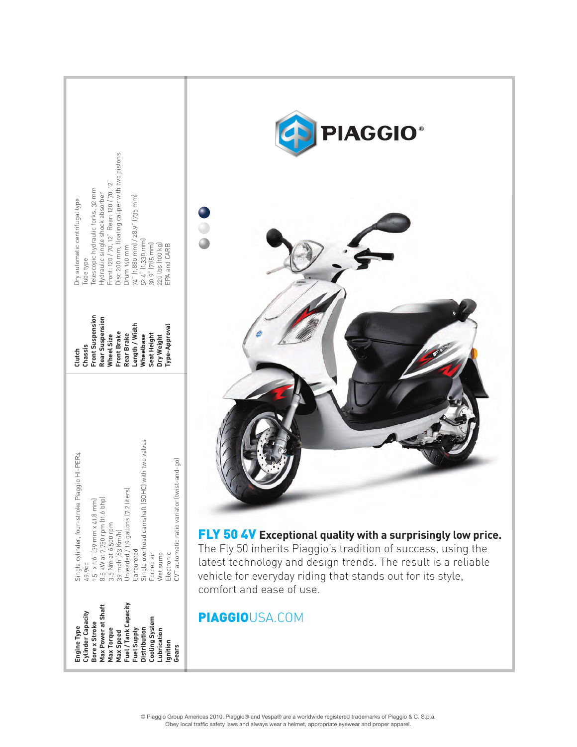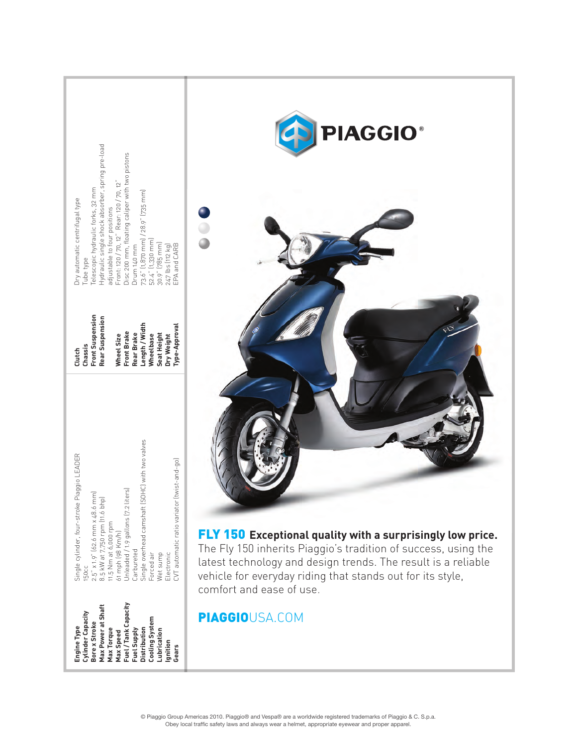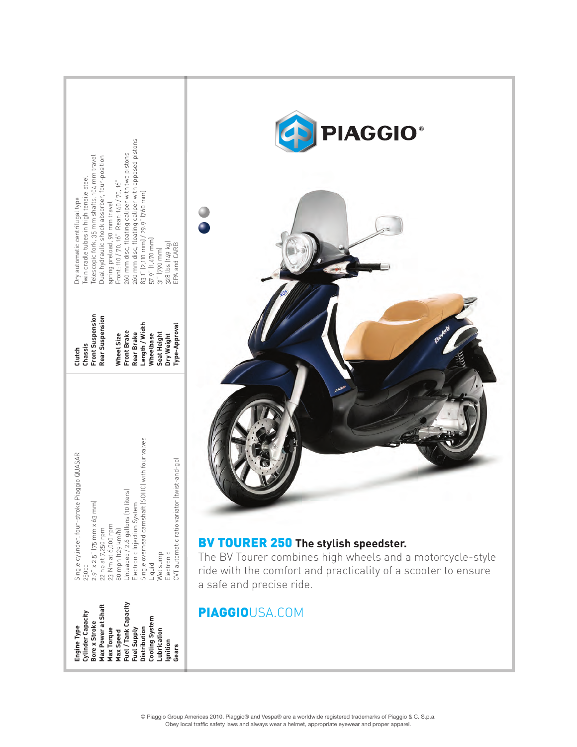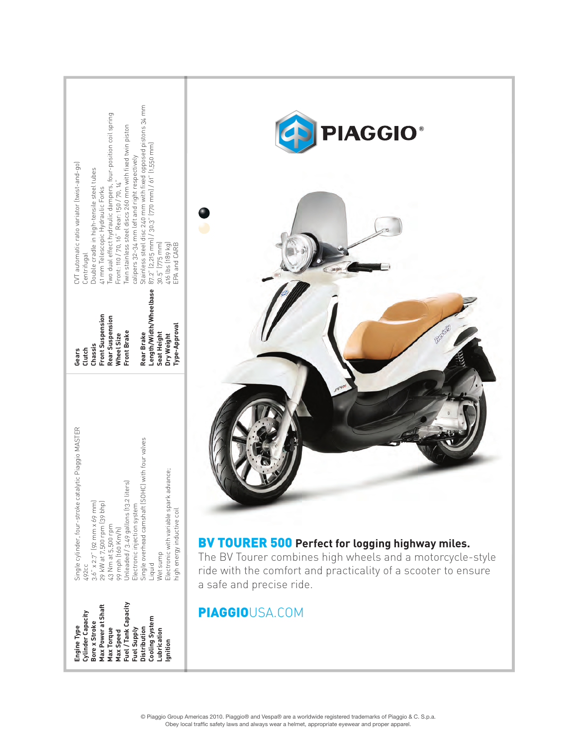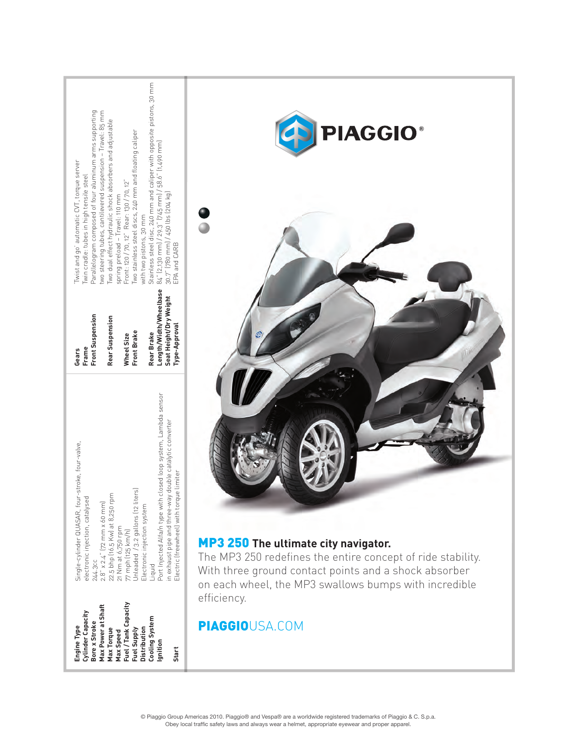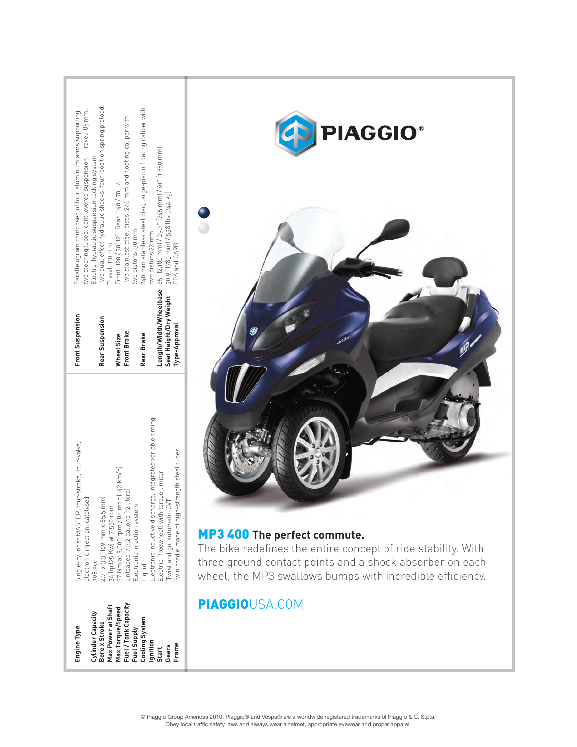